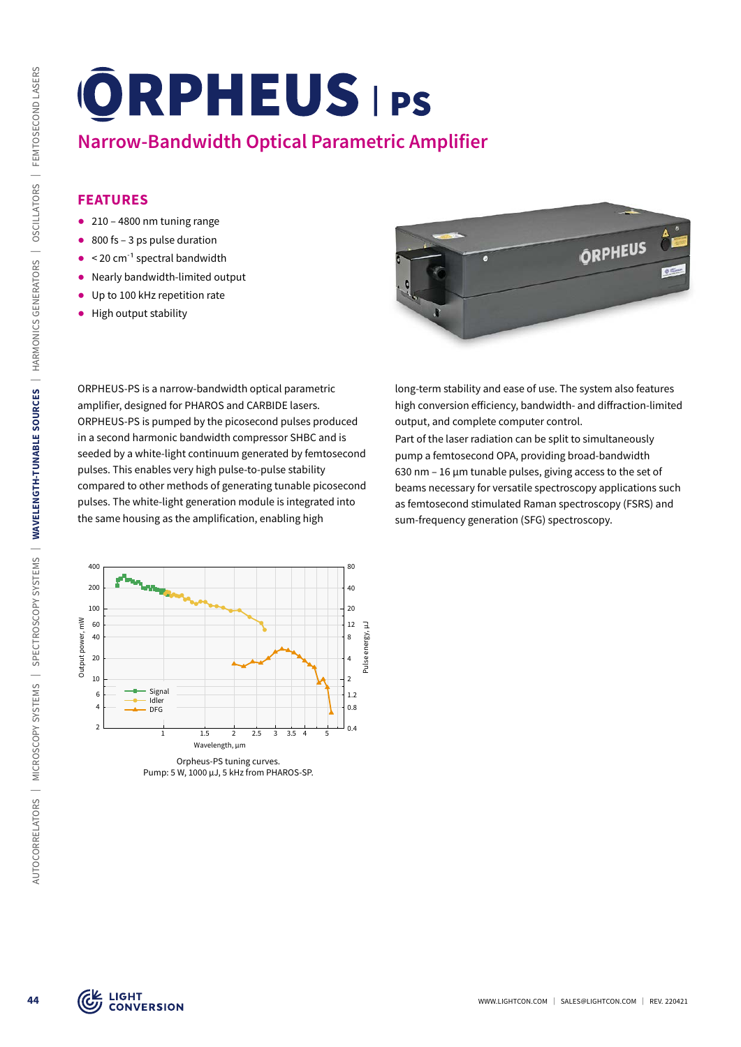# **Narrow-Bandwidth Optical Parametric Amplifier**

# **FEATURES**

- $\bullet$  210 4800 nm tuning range
- $\bullet$  800 fs 3 ps pulse duration
- $\bullet$  < 20 cm<sup>-1</sup> spectral bandwidth
- ᰋ Nearly bandwidth-limited output
- Up to 100 kHz repetition rate
- ᰋ High output stability

ORPHEUS-PS is a narrow-bandwidth optical parametric amplifier, designed for PHAROS and CARBIDE lasers. ORPHEUS-PS is pumped by the picosecond pulses produced in a second harmonic bandwidth compressor SHBC and is seeded by a white-light continuum generated by femtosecond pulses. This enables very high pulse-to-pulse stability compared to other methods of generating tunable picosecond pulses. The white-light generation module is integrated into the same housing as the amplification, enabling high



long-term stability and ease of use. The system also features high conversion efficiency, bandwidth- and diffraction-limited output, and complete computer control.

Part of the laser radiation can be split to simultaneously pump a femtosecond OPA, providing broad-bandwidth 630 nm – 16 µm tunable pulses, giving access to the set of beams necessary for versatile spectroscopy applications such as femtosecond stimulated Raman spectroscopy (FSRS) and sum-frequency generation (SFG) spectroscopy.